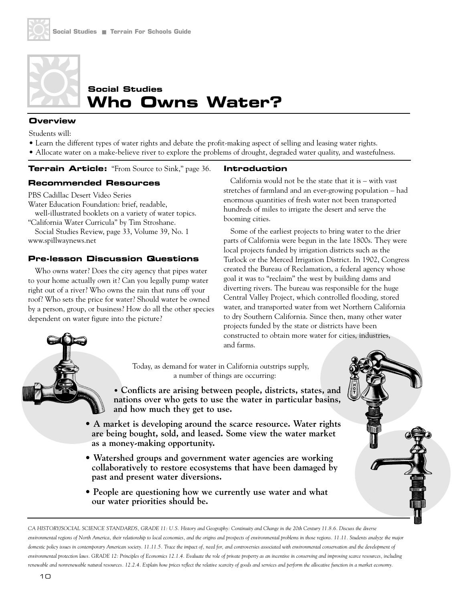

# **Who Owns Water? Social Studies**

#### **Overview**

Students will:

- Learn the different types of water rights and debate the profit-making aspect of selling and leasing water rights.
- Allocate water on a make-believe river to explore the problems of drought, degraded water quality, and wastefulness.

**Terrain Article:** "From Source to Sink," page 36.

#### **Recommended Resources**

PBS Cadillac Desert Video Series

Water Education Foundation: brief, readable, well-illustrated booklets on a variety of water topics.

"California Water Curricula" by Tim Stroshane. Social Studies Review, page 33, Volume 39, No. 1 www.spillwaynews.net

#### **Pre-lesson Discussion Questions**

Who owns water? Does the city agency that pipes water to your home actually own it? Can you legally pump water right out of a river? Who owns the rain that runs off your roof? Who sets the price for water? Should water be owned by a person, group, or business? How do all the other species dependent on water figure into the picture?

## **Introduction**

California would not be the state that it is – with vast stretches of farmland and an ever-growing population – had enormous quantities of fresh water not been transported hundreds of miles to irrigate the desert and serve the booming cities.

Some of the earliest projects to bring water to the drier parts of California were begun in the late 1800s. They were local projects funded by irrigation districts such as the Turlock or the Merced Irrigation District. In 1902, Congress created the Bureau of Reclamation, a federal agency whose goal it was to "reclaim" the west by building dams and diverting rivers. The bureau was responsible for the huge Central Valley Project, which controlled flooding, stored water, and transported water from wet Northern California to dry Southern California. Since then, many other water projects funded by the state or districts have been constructed to obtain more water for cities, industries, and farms.



Today, as demand for water in California outstrips supply, a number of things are occurring:

**• Conflicts are arising between people, districts, states, and nations over who gets to use the water in particular basins, and how much they get to use.**

- **A market is developing around the scarce resource. Water rights are being bought, sold, and leased. Some view the water market as a money-making opportunity.**
- **Watershed groups and government water agencies are working collaboratively to restore ecosystems that have been damaged by past and present water diversions.**
- **People are questioning how we currently use water and what our water priorities should be.**

CA HISTORY/SOCIAL SCIENCE STANDARDS, GRADE 11: U.S. History and Geography: Continuity and Change in the 20th Century 11.8.6. Discuss the diverse *environmental regions of North America, their relationship to local economies, and the origins and prospects of environmental problems in those regions. 11.11. Students analyze the major* domestic policy issues in contemporary American society. 11.11.5. Trace the impact of, need for, and controversies associated with environmental conservation and the development of *environmental protection laws. GRADE 12: Principles of Economics 12.1.4. Evaluate the role of private property as an incentive in conserving and improving scarce resources, including renewable and nonrenewable natural resources. 12.2.4. Explain how prices reflect the relative scarcity of goods and services and perform the allocative function in a market economy.*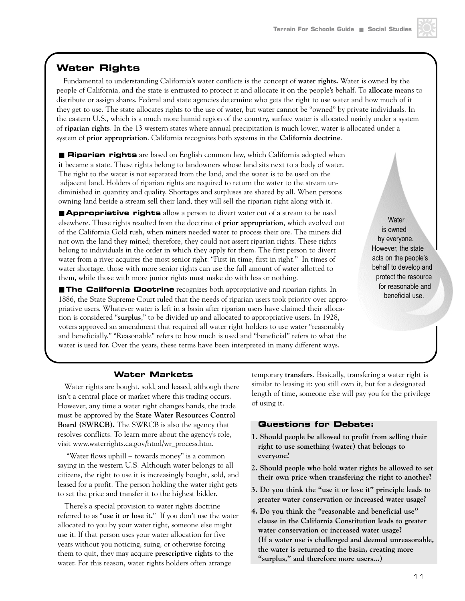## **Water Rights**

Fundamental to understanding California's water conflicts is the concept of **water rights.** Water is owned by the people of California, and the state is entrusted to protect it and allocate it on the people's behalf. To **allocate** means to distribute or assign shares. Federal and state agencies determine who gets the right to use water and how much of it they get to use. The state allocates rights to the use of water, but water cannot be "owned" by private individuals. In the eastern U.S., which is a much more humid region of the country, surface water is allocated mainly under a system of **riparian rights**. In the 13 western states where annual precipitation is much lower, water is allocated under a system of **prior appropriation**. California recognizes both systems in the **California doctrine**.

■ Riparian rights are based on English common law, which California adopted when it became a state. These rights belong to landowners whose land sits next to a body of water. The right to the water is not separated from the land, and the water is to be used on the adjacent land. Holders of riparian rights are required to return the water to the stream undiminished in quantity and quality. Shortages and surpluses are shared by all. When persons owning land beside a stream sell their land, they will sell the riparian right along with it.

■ **Appropriative rights** allow a person to divert water out of a stream to be used elsewhere. These rights resulted from the doctrine of **prior appropriation**, which evolved out of the California Gold rush, when miners needed water to process their ore. The miners did not own the land they mined; therefore, they could not assert riparian rights. These rights belong to individuals in the order in which they apply for them. The first person to divert water from a river acquires the most senior right: "First in time, first in right." In times of water shortage, those with more senior rights can use the full amount of water allotted to them, while those with more junior rights must make do with less or nothing.

■ **The California Doctrine** recognizes both appropriative and riparian rights. In 1886, the State Supreme Court ruled that the needs of riparian users took priority over appropriative users. Whatever water is left in a basin after riparian users have claimed their allocation is considered "**surplus**," to be divided up and allocated to appropriative users. In 1928, voters approved an amendment that required all water right holders to use water "reasonably and beneficially." "Reasonable" refers to how much is used and "beneficial" refers to what the water is used for. Over the years, these terms have been interpreted in many different ways.

**Water** is owned by everyone. However, the state acts on the people's behalf to develop and protect the resource for reasonable and beneficial use.

#### **Water Markets**

Water rights are bought, sold, and leased, although there isn't a central place or market where this trading occurs. However, any time a water right changes hands, the trade must be approved by the **State Water Resources Control Board (SWRCB).** The SWRCB is also the agency that resolves conflicts. To learn more about the agency's role, visit www.waterrights.ca.gov/html/wr\_process.htm.

"Water flows uphill – towards money" is a common saying in the western U.S. Although water belongs to all citizens, the right to use it is increasingly bought, sold, and leased for a profit. The person holding the water right gets to set the price and transfer it to the highest bidder.

There's a special provision to water rights doctrine referred to as "**use it or lose it.**" If you don't use the water allocated to you by your water right, someone else might use it. If that person uses your water allocation for five years without you noticing, suing, or otherwise forcing them to quit, they may acquire **prescriptive rights** to the water. For this reason, water rights holders often arrange

temporary **transfers**. Basically, transfering a water right is similar to leasing it: you still own it, but for a designated length of time, someone else will pay you for the privilege of using it.

#### **Questions for Debate:**

- **1. Should people be allowed to profit from selling their right to use something (water) that belongs to everyone?**
- **2. Should people who hold water rights be allowed to set their own price when transfering the right to another?**
- **3. Do you think the "use it or lose it" principle leads to greater water conservation or increased water usage?**
- **4. Do you think the "reasonable and beneficial use" clause in the California Constitution leads to greater water conservation or increased water usage? (If a water use is challenged and deemed unreasonable, the water is returned to the basin, creating more "surplus," and therefore more users...)**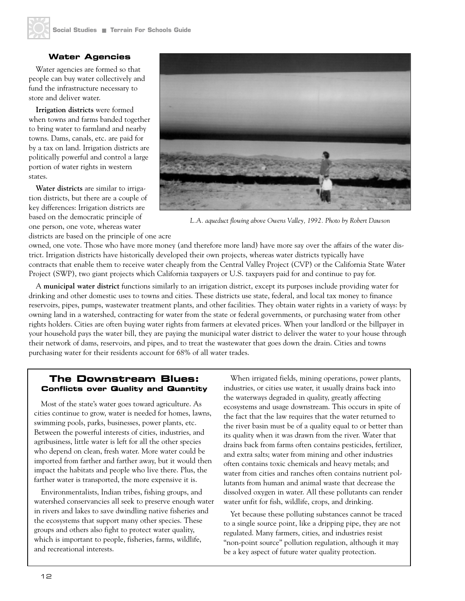#### **Water Agencies**

Water agencies are formed so that people can buy water collectively and fund the infrastructure necessary to store and deliver water.

**Irrigation districts** were formed when towns and farms banded together to bring water to farmland and nearby towns. Dams, canals, etc. are paid for by a tax on land. Irrigation districts are politically powerful and control a large portion of water rights in western states.

**Water districts** are similar to irrigation districts, but there are a couple of key differences: Irrigation districts are based on the democratic principle of one person, one vote, whereas water

districts are based on the principle of one acre



*L.A. aqueduct flowing above Owens Valley, 1992. Photo by Robert Dawson*

owned, one vote. Those who have more money (and therefore more land) have more say over the affairs of the water district. Irrigation districts have historically developed their own projects, whereas water districts typically have contracts that enable them to receive water cheaply from the Central Valley Project (CVP) or the California State Water Project (SWP), two giant projects which California taxpayers or U.S. taxpayers paid for and continue to pay for.

A **municipal water district** functions similarly to an irrigation district, except its purposes include providing water for drinking and other domestic uses to towns and cities. These districts use state, federal, and local tax money to finance reservoirs, pipes, pumps, wastewater treatment plants, and other facilities. They obtain water rights in a variety of ways: by owning land in a watershed, contracting for water from the state or federal governments, or purchasing water from other rights holders. Cities are often buying water rights from farmers at elevated prices. When your landlord or the billpayer in your household pays the water bill, they are paying the municipal water district to deliver the water to your house through their network of dams, reservoirs, and pipes, and to treat the wastewater that goes down the drain. Cities and towns purchasing water for their residents account for 68% of all water trades.

### **The Downstream Blues: Conflicts over Quality and Quantity**

Most of the state's water goes toward agriculture. As cities continue to grow, water is needed for homes, lawns, swimming pools, parks, businesses, power plants, etc. Between the powerful interests of cities, industries, and agribusiness, little water is left for all the other species who depend on clean, fresh water. More water could be imported from farther and farther away, but it would then impact the habitats and people who live there. Plus, the farther water is transported, the more expensive it is.

Environmentalists, Indian tribes, fishing groups, and watershed conservancies all seek to preserve enough water in rivers and lakes to save dwindling native fisheries and the ecosystems that support many other species. These groups and others also fight to protect water quality, which is important to people, fisheries, farms, wildlife, and recreational interests.

When irrigated fields, mining operations, power plants, industries, or cities use water, it usually drains back into the waterways degraded in quality, greatly affecting ecosystems and usage downstream. This occurs in spite of the fact that the law requires that the water returned to the river basin must be of a quality equal to or better than its quality when it was drawn from the river. Water that drains back from farms often contains pesticides, fertilizer, and extra salts; water from mining and other industries often contains toxic chemicals and heavy metals; and water from cities and ranches often contains nutrient pollutants from human and animal waste that decrease the dissolved oxygen in water. All these pollutants can render water unfit for fish, wildlife, crops, and drinking.

Yet because these polluting substances cannot be traced to a single source point, like a dripping pipe, they are not regulated. Many farmers, cities, and industries resist "non-point source" pollution regulation, although it may be a key aspect of future water quality protection.